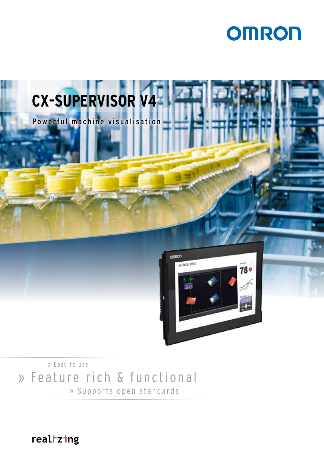



» Feature rich & functional » Easy to use » Supports open standards

realizing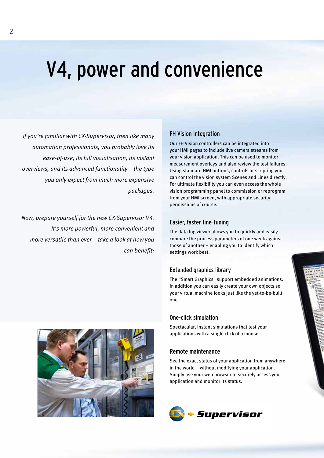# V4, power and convenience

*If you're familiar with CX-Supervisor, then like many automation professionals, you probably love its ease-of-use, its full visualisation, its instant overviews, and its advanced functionality – the type you only expect from much more expensive packages.* 

*Now, prepare yourself for the new CX-Supervisor V4. It's more powerful, more convenient and more versatile than ever – take a look at how you can benefit:*

#### FH Vision Integration

Our FH Vision controllers can be integrated into your HMI pages to include live camera streams from your vision application. This can be used to monitor measurement overlays and also review the test failures. Using standard HMI buttons, controls or scripting you can control the vision system Scenes and Lines directly. For ultimate flexibility you can even access the whole vision programming panel to commission or reprogram from your HMI screen, with appropriate security permissions of course.

#### Easier, faster fine-tuning

The data log viewer allows you to quickly and easily compare the process parameters of one week against those of another – enabling you to identify which settings work best.

#### Extended graphics library

The "Smart Graphics" support embedded animations. In addition you can easily create your own objects so your virtual machine looks just like the yet-to-be-built one.

#### One-click simulation

Spectacular, instant simulations that test your applications with a single click of a mouse.

#### Remote maintenance

See the exact status of your application from anywhere in the world – without modifying your application. Simply use your web browser to securely access your application and monitor its status.





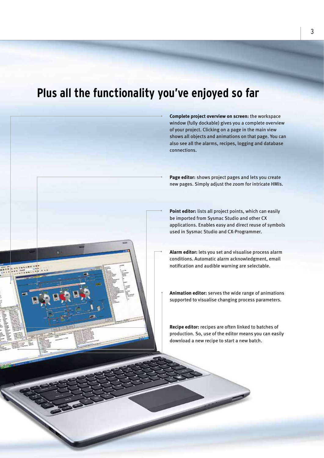### **Plus all the functionality you've enjoyed so far**



**Complete project overview on screen:** the workspace window (fully dockable) gives you a complete overview of your project. Clicking on a page in the main view shows all objects and animations on that page. You can also see all the alarms, recipes, logging and database connections.

**Page editor:** shows project pages and lets you create new pages. Simply adjust the zoom for intricate HMIs.

**Point editor:** lists all project points, which can easily be imported from Sysmac Studio and other CX applications. Enables easy and direct reuse of symbols used in Sysmac Studio and CX-Programmer.

**Alarm editor:** lets you set and visualise process alarm conditions. Automatic alarm acknowledgment, email notification and audible warning are selectable.

**Animation editor:** serves the wide range of animations supported to visualise changing process parameters.

**Recipe editor:** recipes are often linked to batches of production. So, use of the editor means you can easily download a new recipe to start a new batch.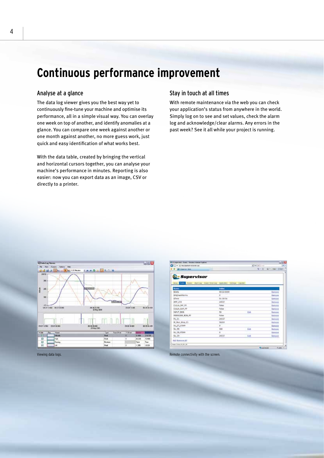### **Continuous performance improvement**

#### Analyse at a glance

The data log viewer gives you the best way yet to continuously fine-tune your machine and optimise its performance, all in a simple visual way. You can overlay one week on top of another, and identify anomalies at a glance. You can compare one week against another or one month against another, no more guess work, just quick and easy identification of what works best.

With the data table, created by bringing the vertical and horizontal cursors together, you can analyse your machine's performance in minutes. Reporting is also easier: now you can export data as an image, CSV or directly to a printer.

#### Stay in touch at all times

With remote maintenance via the web you can check your application's status from anywhere in the world. Simply log on to see and set values, check the alarm log and acknowledge/clear alarms. Any errors in the past week? See it all while your project is running.



| Chicagonical Poets - Portion beausy Explorer            |              |                       | <b>WORLD</b>                               |
|---------------------------------------------------------|--------------|-----------------------|--------------------------------------------|
| Chicago - al mechanica se coneixi un                    |              | $-1414$               |                                            |
| <b>BOONHILL</b>                                         |              |                       | G . II is nice class.                      |
|                                                         |              |                       |                                            |
| <i>Supervisor</i>                                       |              |                       |                                            |
| tow' this Aurel Marchel Enel/Energy Autober Debug Light |              |                       |                                            |
| <b>Name</b>                                             | <b>Volum</b> |                       |                                            |
| <b>SDate</b>                                            | 03/21/2000   |                       | Rectains                                   |
| <b>CONTRACTOR</b><br><b>Bidglesidance</b>               | ü            |                       | Editoria                                   |
| Elima                                                   | 01:30:56     |                       | tamave                                     |
| AMP_219                                                 | 34537        |                       | Amore                                      |
| CULLA, INF FF                                           | Palaut       |                       | tener                                      |
| CULLA, SUP, FIF                                         | False:       |                       | <b>Lobara</b>                              |
| <b>IMPOT BOS</b>                                        | <b>55</b>    | Cat                   | <b>Renaue</b><br>120403-0                  |
| FRESSORE, ROB., AP                                      | Eales        |                       | <b>MONE</b>                                |
| PV.21                                                   | 24537        |                       | Amirch                                     |
| وتجزج<br>St. Run, Mog. 21                               | 36210        |                       | Actere                                     |
| W_Z7_FORM                                               | ò.<br>mar.   |                       | <b><i><u><i><u>AMTHOTA</u></i></u></i></b> |
| $9V$ 28                                                 | tot<br>m     | Esta                  | Amiss                                      |
| Sv. 28, FORM                                            | a            |                       | <b>Removal</b>                             |
| N.29                                                    | 24532        | 6.48                  | tence.                                     |
| Add Rammer AV                                           |              |                       |                                            |
| Trease (0.08.15.15), 10                                 |              |                       |                                            |
|                                                         |              | <b>TH</b> politicians | <b>Russia</b>                              |

Viewing data logs. Remote connectivity with the screen.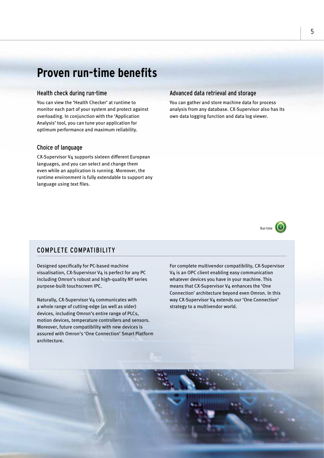### **Proven run-time benefits**

#### Health check during run-time

You can view the 'Health Checker' at runtime to monitor each part of your system and protect against overloading. In conjunction with the 'Application Analysis' tool, you can tune your application for optimum performance and maximum reliability.

#### Choice of language

CX-Supervisor V4 supports sixteen different European languages, and you can select and change them even while an application is running. Moreover, the runtime environment is fully extendable to support any language using text files.

#### Advanced data retrieval and storage

You can gather and store machine data for process analysis from any database. CX-Supervisor also has its own data logging function and data log viewer.



#### COMPLETE COMPATIBILITY

Designed specifically for PC-based machine visualisation, CX-Supervisor V4 is perfect for any PC including Omron's robust and high-quality NY series purpose-built touchscreen IPC.

Naturally, CX-Supervisor V4 communicates with a whole range of cutting-edge (as well as older) devices, including Omron's entire range of PLCs, motion devices, temperature controllers and sensors. Moreover, future compatibility with new devices is assured with Omron's 'One Connection' Smart Platform architecture.

For complete multivendor compatibility, CX-Supervisor V4 is an OPC client enabling easy communication whatever devices you have in your machine. This means that CX-Supervisor V4 enhances the 'One Connection' architecture beyond even Omron. In this way CX-Supervisor V4 extends our 'One Connection' strategy to a multivendor world.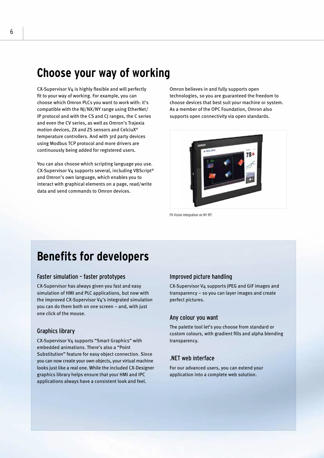### **Choose your way of working**

CX-Supervisor V4 is highly flexible and will perfectly fit to your way of working. For example, you can choose which Omron PLCs you want to work with: it's compatible with the NJ/NX/NY range using EtherNet/ IP protocol and with the CS and CJ ranges, the C series and even the CV series, as well as Omron's Trajexia motion devices, ZX and ZS sensors and CelciuX° temperature controllers. And with 3rd party devices using Modbus TCP protocol and more drivers are continuously being added for registered users.

You can also choose which scripting language you use. CX-Supervisor V4 supports several, including VBScript® and Omron's own language, which enables you to interact with graphical elements on a page, read/write data and send commands to Omron devices.

Omron believes in and fully supports open technologies, so you are guaranteed the freedom to choose devices that best suit your machine or system. As a member of the OPC Foundation, Omron also supports open connectivity via open standards.



FH Vision Integration on NY IPC

### **Benefits for developers**

#### Faster simulation – faster prototypes

CX-Supervisor has always given you fast and easy simulation of HMI and PLC applications, but now with the improved CX-Supervisor V4's integrated simulation you can do them both on one screen – and, with just one click of the mouse.

#### Graphics library

CX-Supervisor V4 supports "Smart Graphics" with embedded animations. There's also a "Point Substitution" feature for easy object connection. Since you can now create your own objects, your virtual machine looks just like a real one. While the included CX-Designer graphics library helps ensure that your HMI and IPC applications always have a consistent look and feel.

#### Improved picture handling

CX-Supervisor V4 supports JPEG and GIF images and transparency – so you can layer images and create perfect pictures.

#### Any colour you want

The palette tool let's you choose from standard or custom colours, with gradient fills and alpha blending transparency.

#### .NET web interface

For our advanced users, you can extend your application into a complete web solution.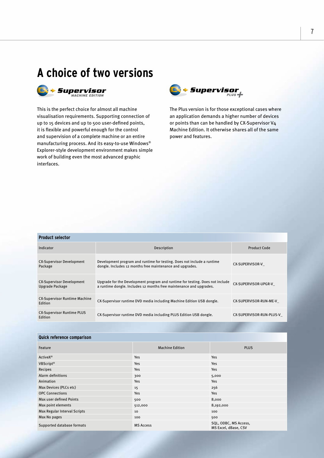



This is the perfect choice for almost all machine visualisation requirements. Supporting connection of up to 15 devices and up to 500 user-defined points, it is flexible and powerful enough for the control and supervision of a complete machine or an entire manufacturing process. And its easy-to-use Windows® Explorer-style development environment makes simple work of building even the most advanced graphic interfaces.



The Plus version is for those exceptional cases where an application demands a higher number of devices or points than can be handled by CX-Supervisor V4 Machine Edition. It otherwise shares all of the same power and features.

| <b>Product selector</b>                             |                                                                                                                                                      |                          |  |  |
|-----------------------------------------------------|------------------------------------------------------------------------------------------------------------------------------------------------------|--------------------------|--|--|
| Indicator                                           | Description                                                                                                                                          | Product Code             |  |  |
| <b>CX-Supervisor Development</b><br>Package         | Development program and runtime for testing. Does not include a runtime<br>dongle. Includes 12 months free maintenance and upgrades.                 | CX-SUPERVISOR-V          |  |  |
| <b>CX-Supervisor Development</b><br>Upgrade Package | Upgrade for the Development program and runtime for testing. Does not include<br>a runtime dongle. Includes 12 months free maintenance and upgrades. | CX-SUPERVISOR-UPGR-V     |  |  |
| <b>CX-Supervisor Runtime Machine</b><br>Edition     | CX-Supervisor runtime DVD media including Machine Edition USB dongle.                                                                                | CX-SUPERVISOR-RUN-ME-V   |  |  |
| <b>CX-Supervisor Runtime PLUS</b><br>Edition        | CX-Supervisor runtime DVD media including PLUS Edition USB dongle.                                                                                   | CX-SUPERVISOR-RUN-PLUS-V |  |  |

| Quick reference comparison   |                        |                                               |  |  |  |
|------------------------------|------------------------|-----------------------------------------------|--|--|--|
| Feature                      | <b>Machine Edition</b> | <b>PLUS</b>                                   |  |  |  |
| <b>ActiveX®</b>              | <b>Yes</b>             | <b>Yes</b>                                    |  |  |  |
| VBScript <sup>®</sup>        | <b>Yes</b>             | Yes                                           |  |  |  |
| Recipes                      | <b>Yes</b>             | Yes                                           |  |  |  |
| Alarm definitions            | 300                    | 5,000                                         |  |  |  |
| Animation                    | Yes                    | Yes                                           |  |  |  |
| Max Devices (PLCs etc)       | 15                     | 256                                           |  |  |  |
| <b>OPC Connections</b>       | <b>Yes</b>             | Yes                                           |  |  |  |
| Max user defined Points      | 500                    | 8,000                                         |  |  |  |
| Max point elements           | 512,000                | 8,192,000                                     |  |  |  |
| Max Regular Interval Scripts | 10                     | 100                                           |  |  |  |
| Max No pages                 | 100                    | 500                                           |  |  |  |
| Supported database formats   | <b>MS Access</b>       | SQL, ODBC, MS Access,<br>MS Excel, dBase, CSV |  |  |  |